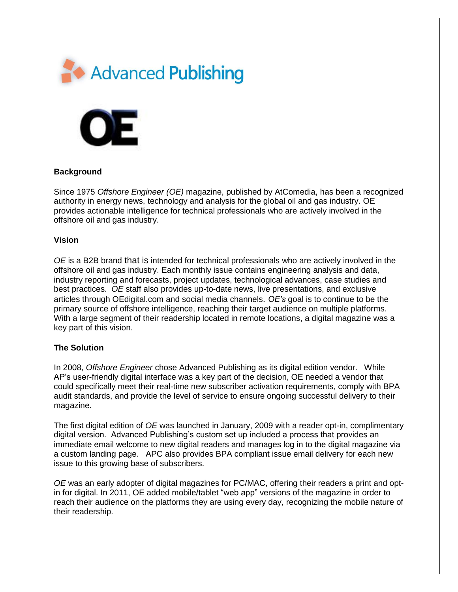



## **Background**

Since 1975 *Offshore Engineer (OE)* magazine, published by AtComedia, has been a recognized authority in energy news, technology and analysis for the global oil and gas industry. OE provides actionable intelligence for technical professionals who are actively involved in the offshore oil and gas industry.

## **Vision**

*OE* is a B2B brand that is intended for technical professionals who are actively involved in the offshore oil and gas industry. Each monthly issue contains engineering analysis and data, industry reporting and forecasts, project updates, technological advances, case studies and best practices. *OE* staff also provides up-to-date news, live presentations, and exclusive articles through OEdigital.com and social media channels. *OE's* goal is to continue to be the primary source of offshore intelligence, reaching their target audience on multiple platforms. With a large segment of their readership located in remote locations, a digital magazine was a key part of this vision.

## **The Solution**

In 2008, *Offshore Engineer* chose Advanced Publishing as its digital edition vendor. While AP's user-friendly digital interface was a key part of the decision, OE needed a vendor that could specifically meet their real-time new subscriber activation requirements, comply with BPA audit standards, and provide the level of service to ensure ongoing successful delivery to their magazine.

The first digital edition of *OE* was launched in January, 2009 with a reader opt-in, complimentary digital version. Advanced Publishing's custom set up included a process that provides an immediate email welcome to new digital readers and manages log in to the digital magazine via a custom landing page. APC also provides BPA compliant issue email delivery for each new issue to this growing base of subscribers.

*OE* was an early adopter of digital magazines for PC/MAC, offering their readers a print and optin for digital. In 2011, OE added mobile/tablet "web app" versions of the magazine in order to reach their audience on the platforms they are using every day, recognizing the mobile nature of their readership.